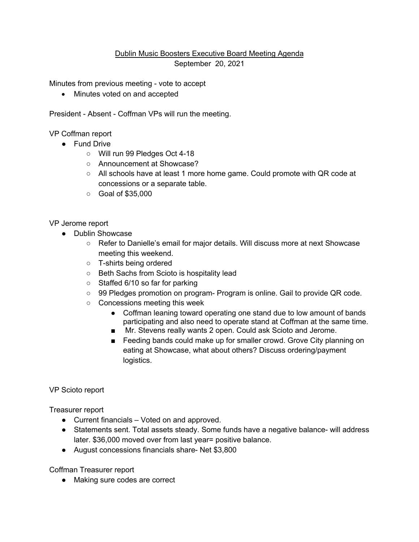## Dublin Music Boosters Executive Board Meeting Agenda September 20, 2021

Minutes from previous meeting - vote to accept

• Minutes voted on and accepted

President - Absent - Coffman VPs will run the meeting.

VP Coffman report

- Fund Drive
	- Will run 99 Pledges Oct 4-18
	- Announcement at Showcase?
	- $\circ$  All schools have at least 1 more home game. Could promote with QR code at concessions or a separate table.
	- Goal of \$35,000

## VP Jerome report

- Dublin Showcase
	- Refer to Danielle's email for major details. Will discuss more at next Showcase meeting this weekend.
	- T-shirts being ordered
	- Beth Sachs from Scioto is hospitality lead
	- Staffed 6/10 so far for parking
	- 99 Pledges promotion on program- Program is online. Gail to provide QR code.
	- Concessions meeting this week
		- Coffman leaning toward operating one stand due to low amount of bands participating and also need to operate stand at Coffman at the same time.
		- Mr. Stevens really wants 2 open. Could ask Scioto and Jerome.
		- Feeding bands could make up for smaller crowd. Grove City planning on eating at Showcase, what about others? Discuss ordering/payment logistics.

VP Scioto report

Treasurer report

- Current financials Voted on and approved.
- Statements sent. Total assets steady. Some funds have a negative balance- will address later. \$36,000 moved over from last year= positive balance.
- August concessions financials share- Net \$3,800

Coffman Treasurer report

● Making sure codes are correct